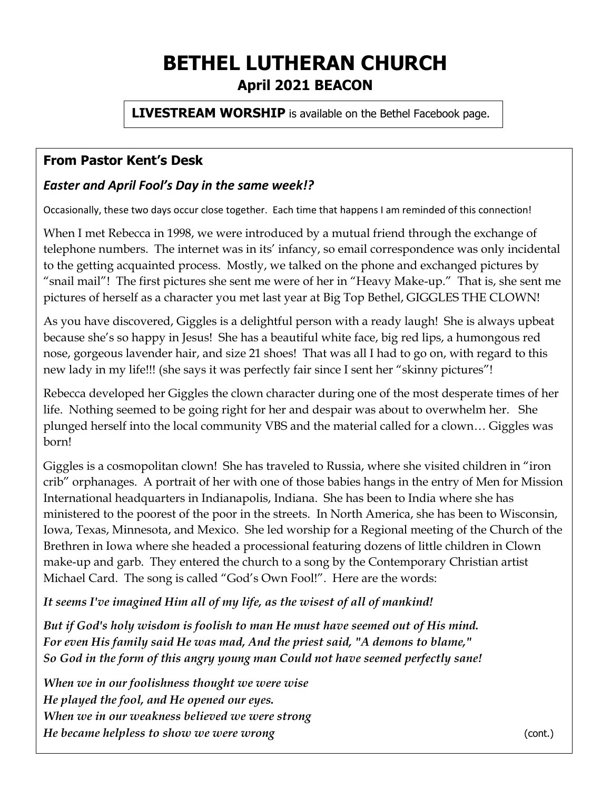# **BETHEL LUTHERAN CHURCH April 2021 BEACON**

**LIVESTREAM WORSHIP** is available on the Bethel Facebook page.

# **From Pastor Kent's Desk**

## *Easter and April Fool's Day in the same week!?*

Occasionally, these two days occur close together. Each time that happens I am reminded of this connection!

When I met Rebecca in 1998, we were introduced by a mutual friend through the exchange of telephone numbers. The internet was in its' infancy, so email correspondence was only incidental to the getting acquainted process. Mostly, we talked on the phone and exchanged pictures by "snail mail"! The first pictures she sent me were of her in "Heavy Make-up." That is, she sent me pictures of herself as a character you met last year at Big Top Bethel, GIGGLES THE CLOWN!

As you have discovered, Giggles is a delightful person with a ready laugh! She is always upbeat because she's so happy in Jesus! She has a beautiful white face, big red lips, a humongous red nose, gorgeous lavender hair, and size 21 shoes! That was all I had to go on, with regard to this new lady in my life!!! (she says it was perfectly fair since I sent her "skinny pictures"!

Rebecca developed her Giggles the clown character during one of the most desperate times of her life. Nothing seemed to be going right for her and despair was about to overwhelm her. She plunged herself into the local community VBS and the material called for a clown… Giggles was born!

Giggles is a cosmopolitan clown! She has traveled to Russia, where she visited children in "iron crib" orphanages. A portrait of her with one of those babies hangs in the entry of Men for Mission International headquarters in Indianapolis, Indiana. She has been to India where she has ministered to the poorest of the poor in the streets. In North America, she has been to Wisconsin, Iowa, Texas, Minnesota, and Mexico. She led worship for a Regional meeting of the Church of the Brethren in Iowa where she headed a processional featuring dozens of little children in Clown make-up and garb. They entered the church to a song by the Contemporary Christian artist Michael Card. The song is called "God's Own Fool!". Here are the words:

*It seems I've imagined Him all of my life, as the wisest of all of mankind!*

*But if God's holy wisdom is foolish to man He must have seemed out of His mind. For even His family said He was mad, And the priest said, "A demons to blame," So God in the form of this angry young man Could not have seemed perfectly sane!*

*When we in our foolishness thought we were wise He played the fool, and He opened our eyes. When we in our weakness believed we were strong He became helpless to show we were wrong* (cont.)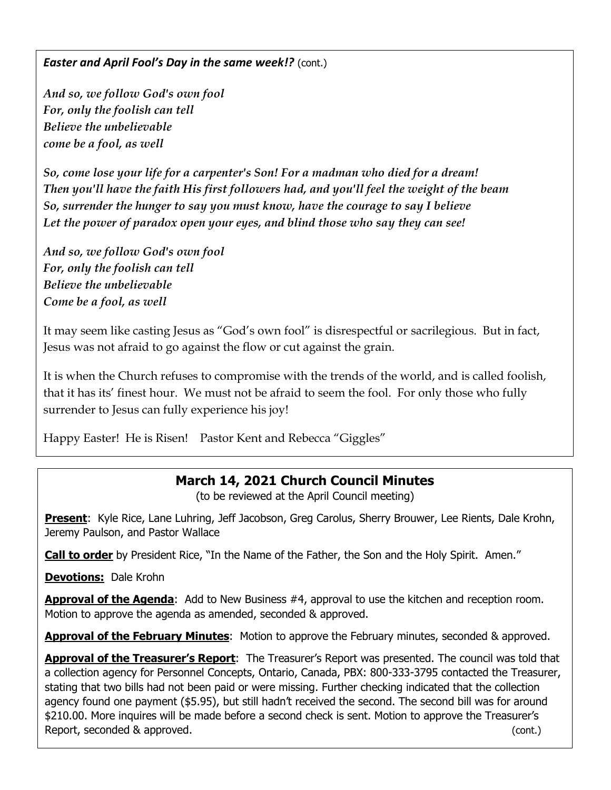#### *Easter and April Fool's Day in the same week!?* **(cont.)**

*And so, we follow God's own fool For, only the foolish can tell Believe the unbelievable come be a fool, as well* 

*So, come lose your life for a carpenter's Son! For a madman who died for a dream! Then you'll have the faith His first followers had, and you'll feel the weight of the beam So, surrender the hunger to say you must know, have the courage to say I believe Let the power of paradox open your eyes, and blind those who say they can see!*

*And so, we follow God's own fool For, only the foolish can tell Believe the unbelievable Come be a fool, as well* 

It may seem like casting Jesus as "God's own fool" is disrespectful or sacrilegious. But in fact, Jesus was not afraid to go against the flow or cut against the grain.

It is when the Church refuses to compromise with the trends of the world, and is called foolish, that it has its' finest hour. We must not be afraid to seem the fool. For only those who fully surrender to Jesus can fully experience his joy!

Happy Easter! He is Risen! Pastor Kent and Rebecca "Giggles"

## **March 14, 2021 Church Council Minutes**

(to be reviewed at the April Council meeting)

**Present**: Kyle Rice, Lane Luhring, Jeff Jacobson, Greg Carolus, Sherry Brouwer, Lee Rients, Dale Krohn, Jeremy Paulson, and Pastor Wallace

**Call to order** by President Rice, "In the Name of the Father, the Son and the Holy Spirit. Amen."

**Devotions:** Dale Krohn

Approval of the Agenda: Add to New Business #4, approval to use the kitchen and reception room. Motion to approve the agenda as amended, seconded & approved.

**Approval of the February Minutes**: Motion to approve the February minutes, seconded & approved.

Approval of the Treasurer's Report: The Treasurer's Report was presented. The council was told that a collection agency for Personnel Concepts, Ontario, Canada, PBX: 800-333-3795 contacted the Treasurer, stating that two bills had not been paid or were missing. Further checking indicated that the collection agency found one payment (\$5.95), but still hadn't received the second. The second bill was for around \$210.00. More inquires will be made before a second check is sent. Motion to approve the Treasurer's Report, seconded & approved. The second of the second second second second second second second.)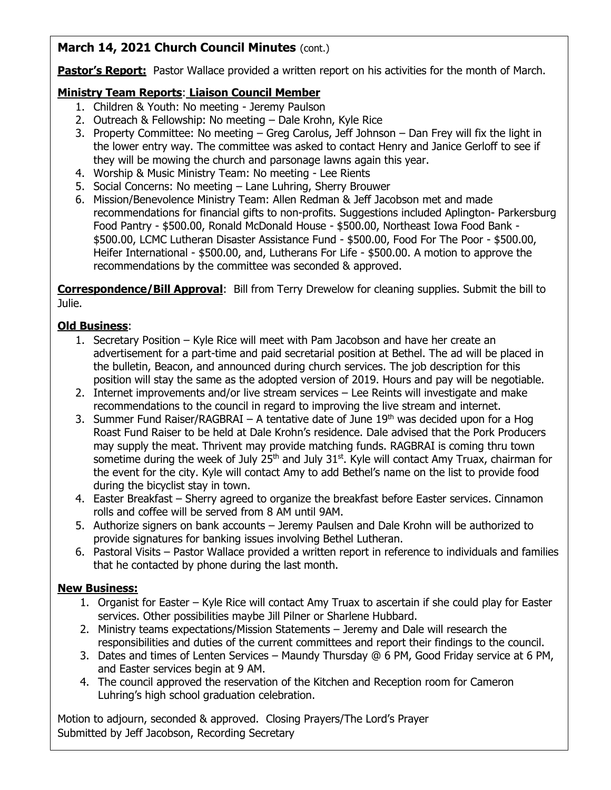## **March 14, 2021 Church Council Minutes (cont.)**

**Pastor's Report:** Pastor Wallace provided a written report on his activities for the month of March.

#### **Ministry Team Reports**: **Liaison Council Member**

- 1. Children & Youth: No meeting Jeremy Paulson
- 2. Outreach & Fellowship: No meeting Dale Krohn, Kyle Rice
- 3. Property Committee: No meeting Greg Carolus, Jeff Johnson Dan Frey will fix the light in the lower entry way. The committee was asked to contact Henry and Janice Gerloff to see if they will be mowing the church and parsonage lawns again this year.
- 4. Worship & Music Ministry Team: No meeting Lee Rients
- 5. Social Concerns: No meeting Lane Luhring, Sherry Brouwer
- 6. Mission/Benevolence Ministry Team: Allen Redman & Jeff Jacobson met and made recommendations for financial gifts to non-profits. Suggestions included Aplington- Parkersburg Food Pantry - \$500.00, Ronald McDonald House - \$500.00, Northeast Iowa Food Bank - \$500.00, LCMC Lutheran Disaster Assistance Fund - \$500.00, Food For The Poor - \$500.00, Heifer International - \$500.00, and, Lutherans For Life - \$500.00. A motion to approve the recommendations by the committee was seconded & approved.

**Correspondence/Bill Approval**: Bill from Terry Drewelow for cleaning supplies. Submit the bill to Julie.

#### **Old Business**:

- 1. Secretary Position Kyle Rice will meet with Pam Jacobson and have her create an advertisement for a part-time and paid secretarial position at Bethel. The ad will be placed in the bulletin, Beacon, and announced during church services. The job description for this position will stay the same as the adopted version of 2019. Hours and pay will be negotiable.
- 2. Internet improvements and/or live stream services Lee Reints will investigate and make recommendations to the council in regard to improving the live stream and internet.
- 3. Summer Fund Raiser/RAGBRAI A tentative date of June  $19<sup>th</sup>$  was decided upon for a Hog Roast Fund Raiser to be held at Dale Krohn's residence. Dale advised that the Pork Producers may supply the meat. Thrivent may provide matching funds. RAGBRAI is coming thru town sometime during the week of July  $25<sup>th</sup>$  and July  $31<sup>st</sup>$ . Kyle will contact Amy Truax, chairman for the event for the city. Kyle will contact Amy to add Bethel's name on the list to provide food during the bicyclist stay in town.
- 4. Easter Breakfast Sherry agreed to organize the breakfast before Easter services. Cinnamon rolls and coffee will be served from 8 AM until 9AM.
- 5. Authorize signers on bank accounts Jeremy Paulsen and Dale Krohn will be authorized to provide signatures for banking issues involving Bethel Lutheran.
- 6. Pastoral Visits Pastor Wallace provided a written report in reference to individuals and families that he contacted by phone during the last month.

#### **New Business:**

- 1. Organist for Easter Kyle Rice will contact Amy Truax to ascertain if she could play for Easter services. Other possibilities maybe Jill Pilner or Sharlene Hubbard.
- 2. Ministry teams expectations/Mission Statements Jeremy and Dale will research the responsibilities and duties of the current committees and report their findings to the council.
- 3. Dates and times of Lenten Services Maundy Thursday @ 6 PM, Good Friday service at 6 PM, and Easter services begin at 9 AM.
- 4. The council approved the reservation of the Kitchen and Reception room for Cameron Luhring's high school graduation celebration.

Motion to adjourn, seconded & approved. Closing Prayers/The Lord's Prayer Submitted by Jeff Jacobson, Recording Secretary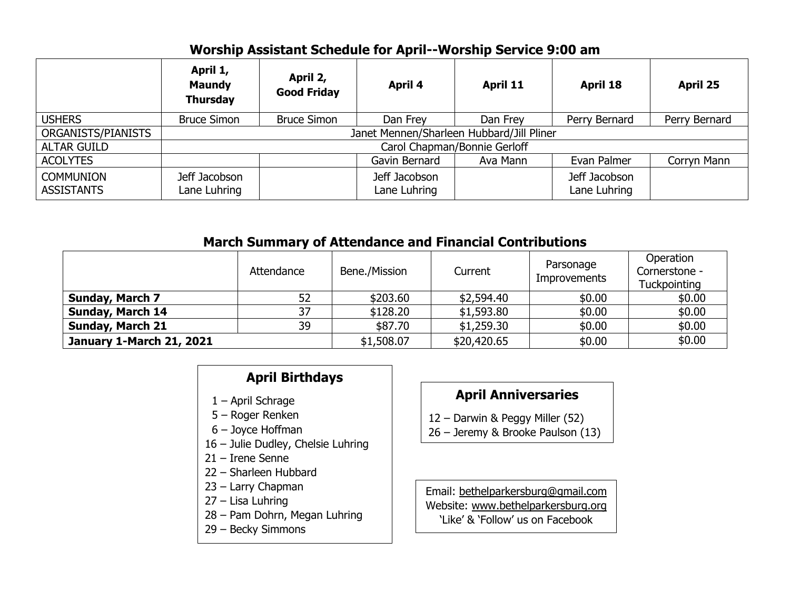| Worship Assistant Schedule for April--Worship Service 9:00 am |  |  |
|---------------------------------------------------------------|--|--|
|---------------------------------------------------------------|--|--|

|                                       | April 1,<br><b>Maundy</b><br><b>Thursday</b> | April 2,<br><b>Good Friday</b> | April 4                                   | <b>April 11</b>              | <b>April 18</b>               | April 25      |
|---------------------------------------|----------------------------------------------|--------------------------------|-------------------------------------------|------------------------------|-------------------------------|---------------|
| <b>USHERS</b>                         | <b>Bruce Simon</b>                           | <b>Bruce Simon</b>             | Dan Frey                                  | Dan Frey                     | Perry Bernard                 | Perry Bernard |
| ORGANISTS/PIANISTS                    |                                              |                                | Janet Mennen/Sharleen Hubbard/Jill Pliner |                              |                               |               |
| <b>ALTAR GUILD</b>                    |                                              |                                |                                           | Carol Chapman/Bonnie Gerloff |                               |               |
| <b>ACOLYTES</b>                       |                                              |                                | Gavin Bernard                             | Ava Mann                     | Evan Palmer                   | Corryn Mann   |
| <b>COMMUNION</b><br><b>ASSISTANTS</b> | Jeff Jacobson<br>Lane Luhring                |                                | Jeff Jacobson<br>Lane Luhring             |                              | Jeff Jacobson<br>Lane Luhring |               |

### **March Summary of Attendance and Financial Contributions**

|                                 | Attendance | Bene./Mission | Current     | Parsonage<br><b>Improvements</b> | Operation<br>Cornerstone -<br>Tuckpointing |
|---------------------------------|------------|---------------|-------------|----------------------------------|--------------------------------------------|
| <b>Sunday, March 7</b>          | 52         | \$203.60      | \$2,594.40  | \$0.00                           | \$0.00                                     |
| <b>Sunday, March 14</b>         | 37         | \$128.20      | \$1,593.80  | \$0.00                           | \$0.00                                     |
| <b>Sunday, March 21</b>         | 39         | \$87.70       | \$1,259.30  | \$0.00                           | \$0.00                                     |
| <b>January 1-March 21, 2021</b> |            | \$1,508.07    | \$20,420.65 | \$0.00                           | \$0.00                                     |

# **April Birthdays**

- 1 April Schrage
- 5 Roger Renken
- 6 Joyce Hoffman
- 16 Julie Dudley, Chelsie Luhring
- 21 Irene Senne
- 22 Sharleen Hubbard
- 23 Larry Chapman
- 27 Lisa Luhring
- 28 Pam Dohrn, Megan Luhring
- 29 Becky Simmons

# **April Anniversaries**

- 12 Darwin & Peggy Miller (52)
- 26 Jeremy & Brooke Paulson (13)

Email: [bethelparkersburg@gmail.com](mailto:bethelparkersburg@gmail.com)  Website: [www.bethelparkersburg.org](http://www.bethelparkersburg.org/) 'Like' & 'Follow' us on Facebook